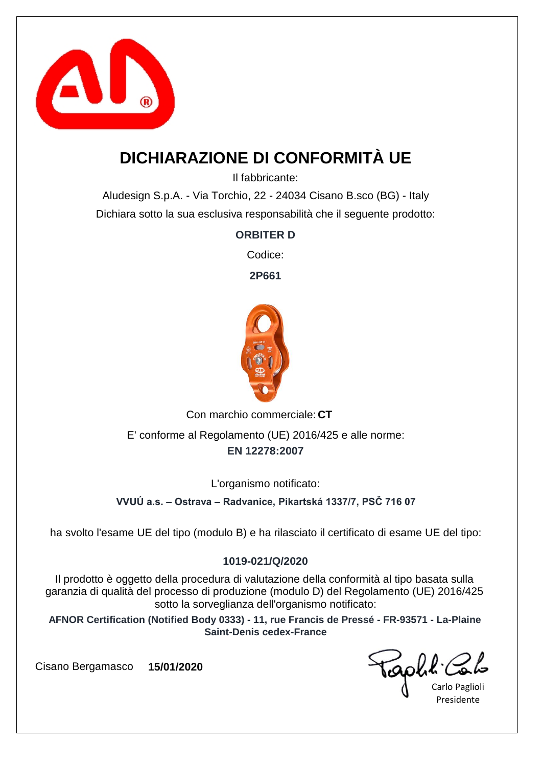

## **DICHIARAZIONE DI CONFORMITÀ UE**

Il fabbricante:

Aludesign S.p.A. - Via Torchio, 22 - 24034 Cisano B.sco (BG) - Italy Dichiara sotto la sua esclusiva responsabilità che il seguente prodotto:

### **ORBITER D**

Codice:

**2P661**



Con marchio commerciale: CT

**EN 12278:2007** E' conforme al Regolamento (UE) 2016/425 e alle norme:

L'organismo notificato:

**VVUÚ a.s. – Ostrava – Radvanice, Pikartská 1337/7, PSČ 716 07**

ha svolto l'esame UE del tipo (modulo B) e ha rilasciato il certificato di esame UE del tipo:

### **1019-021/Q/2020**

Il prodotto è oggetto della procedura di valutazione della conformità al tipo basata sulla garanzia di qualità del processo di produzione (modulo D) del Regolamento (UE) 2016/425 sotto la sorveglianza dell'organismo notificato:

**AFNOR Certification (Notified Body 0333) - 11, rue Francis de Pressé - FR-93571 - La-Plaine Saint-Denis cedex-France**

Caph & Cot

Presidente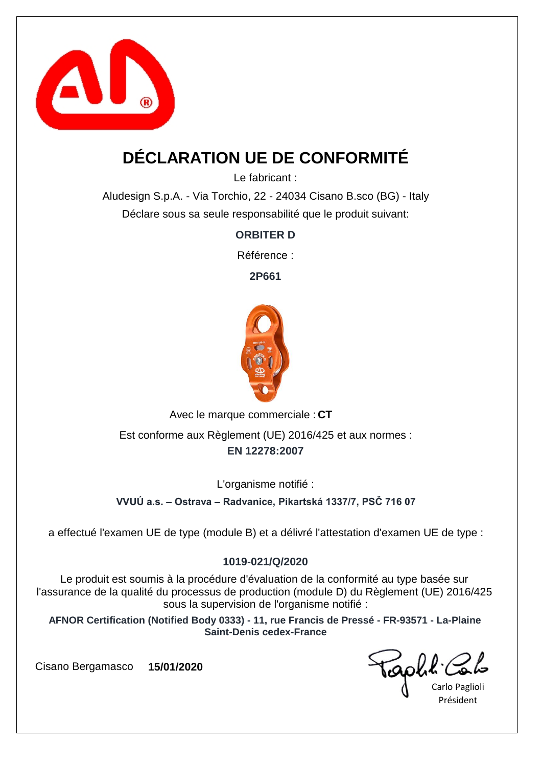

## **DÉCLARATION UE DE CONFORMITÉ**

Le fabricant :

Aludesign S.p.A. - Via Torchio, 22 - 24034 Cisano B.sco (BG) - Italy Déclare sous sa seule responsabilité que le produit suivant:

**ORBITER D**

Référence :

**2P661**



Avec le marque commerciale : CT

**EN 12278:2007** Est conforme aux Règlement (UE) 2016/425 et aux normes :

L'organisme notifié :

**VVUÚ a.s. – Ostrava – Radvanice, Pikartská 1337/7, PSČ 716 07**

a effectué l'examen UE de type (module B) et a délivré l'attestation d'examen UE de type :

### **1019-021/Q/2020**

Le produit est soumis à la procédure d'évaluation de la conformité au type basée sur l'assurance de la qualité du processus de production (module D) du Règlement (UE) 2016/425 sous la supervision de l'organisme notifié :

**AFNOR Certification (Notified Body 0333) - 11, rue Francis de Pressé - FR-93571 - La-Plaine Saint-Denis cedex-France**

capha.

Carlo Paglioli Président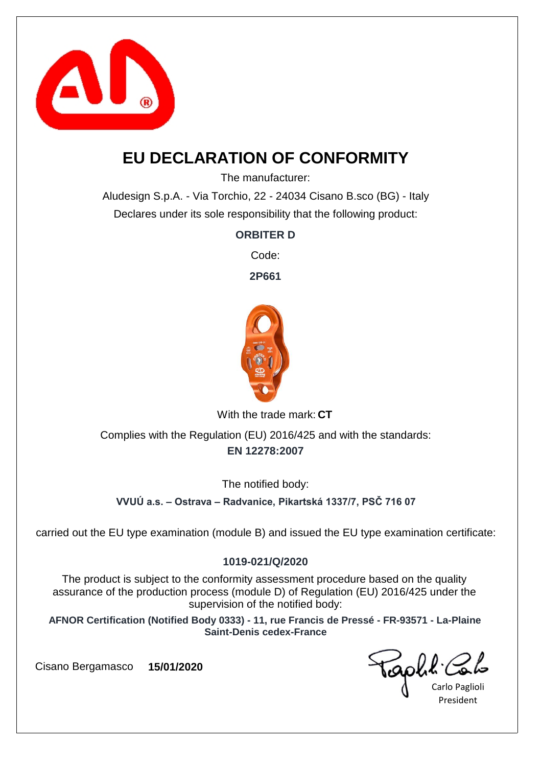

## **EU DECLARATION OF CONFORMITY**

The manufacturer:

Aludesign S.p.A. - Via Torchio, 22 - 24034 Cisano B.sco (BG) - Italy Declares under its sole responsibility that the following product:

**ORBITER D**

Code:

**2P661**



With the trade mark: CT

**EN 12278:2007** Complies with the Regulation (EU) 2016/425 and with the standards:

The notified body:

**VVUÚ a.s. – Ostrava – Radvanice, Pikartská 1337/7, PSČ 716 07**

carried out the EU type examination (module B) and issued the EU type examination certificate:

#### **1019-021/Q/2020**

The product is subject to the conformity assessment procedure based on the quality assurance of the production process (module D) of Regulation (EU) 2016/425 under the supervision of the notified body:

**AFNOR Certification (Notified Body 0333) - 11, rue Francis de Pressé - FR-93571 - La-Plaine Saint-Denis cedex-France**

Taphh Co

Carlo Paglioli President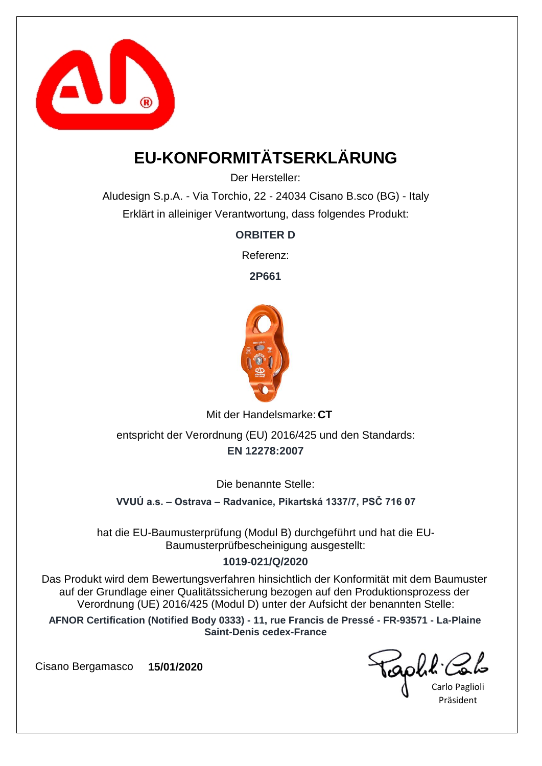

# **EU-KONFORMITÄTSERKLÄRUNG**

Der Hersteller:

Aludesign S.p.A. - Via Torchio, 22 - 24034 Cisano B.sco (BG) - Italy Erklärt in alleiniger Verantwortung, dass folgendes Produkt:

**ORBITER D**

Referenz:

**2P661**



Mit der Handelsmarke: CT

**EN 12278:2007** entspricht der Verordnung (EU) 2016/425 und den Standards:

Die benannte Stelle:

**VVUÚ a.s. – Ostrava – Radvanice, Pikartská 1337/7, PSČ 716 07**

hat die EU-Baumusterprüfung (Modul B) durchgeführt und hat die EU-Baumusterprüfbescheinigung ausgestellt:

### **1019-021/Q/2020**

Das Produkt wird dem Bewertungsverfahren hinsichtlich der Konformität mit dem Baumuster auf der Grundlage einer Qualitätssicherung bezogen auf den Produktionsprozess der Verordnung (UE) 2016/425 (Modul D) unter der Aufsicht der benannten Stelle:

**AFNOR Certification (Notified Body 0333) - 11, rue Francis de Pressé - FR-93571 - La-Plaine Saint-Denis cedex-France**

Carlo Paglioli Präsident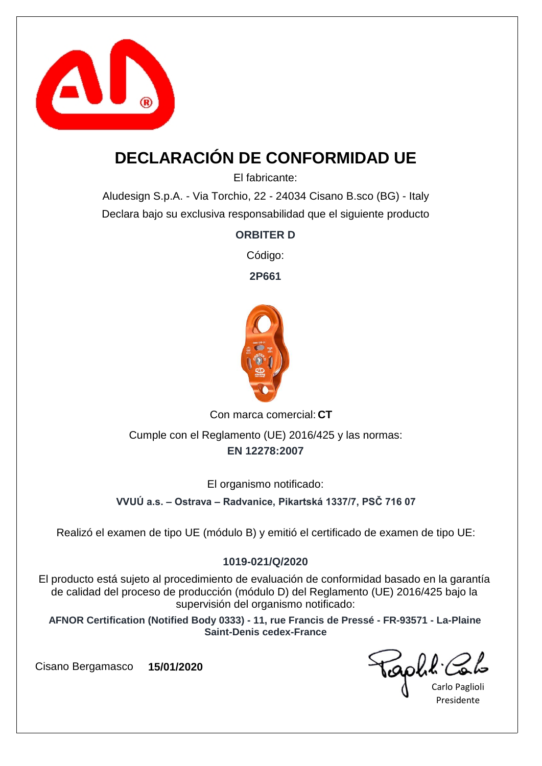

## **DECLARACIÓN DE CONFORMIDAD UE**

El fabricante:

Aludesign S.p.A. - Via Torchio, 22 - 24034 Cisano B.sco (BG) - Italy Declara bajo su exclusiva responsabilidad que el siguiente producto

**ORBITER D**

Código:

**2P661**



Con marca comercial: CT

**EN 12278:2007** Cumple con el Reglamento (UE) 2016/425 y las normas:

El organismo notificado:

**VVUÚ a.s. – Ostrava – Radvanice, Pikartská 1337/7, PSČ 716 07**

Realizó el examen de tipo UE (módulo B) y emitió el certificado de examen de tipo UE:

### **1019-021/Q/2020**

El producto está sujeto al procedimiento de evaluación de conformidad basado en la garantía de calidad del proceso de producción (módulo D) del Reglamento (UE) 2016/425 bajo la supervisión del organismo notificado:

**AFNOR Certification (Notified Body 0333) - 11, rue Francis de Pressé - FR-93571 - La-Plaine Saint-Denis cedex-France**

Golk'

Carlo Paglioli Presidente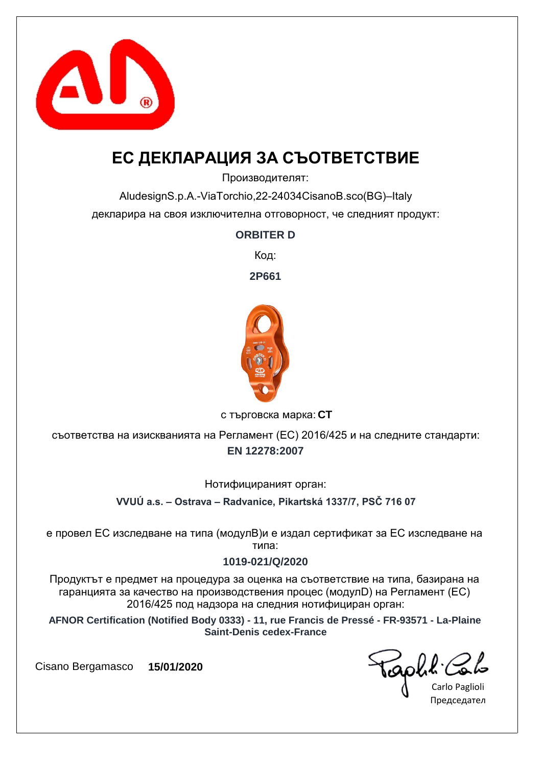

## **ЕС ДЕКЛАРАЦИЯ ЗА СЪОТВЕТСТВИЕ**

Производителят:

AludesignS.p.A.-ViaTorchio,22-24034CisanoB.sco(BG)–Italy декларира на своя изключителна отговорност, че следният продукт:

### **ORBITER D**

Код:

**2P661**



**CT** с търговска марка:

**EN 12278:2007** съответства на изискванията на Регламент (ЕС) 2016/425 и на следните стандарти:

Нотифицираният орган:

**VVUÚ a.s. – Ostrava – Radvanice, Pikartská 1337/7, PSČ 716 07**

е провел ЕС изследване на типа (модулB)и е издал сертификат за ЕС изследване на типа:

### **1019-021/Q/2020**

Продуктът е предмет на процедура за оценка на съответствие на типа, базирана на гаранцията за качество на производствения процес (модулD) на Регламент (ЕС) 2016/425 под надзора на следния нотифициран орган:

**AFNOR Certification (Notified Body 0333) - 11, rue Francis de Pressé - FR-93571 - La-Plaine Saint-Denis cedex-France**

sophe.

Carlo Paglioli Председател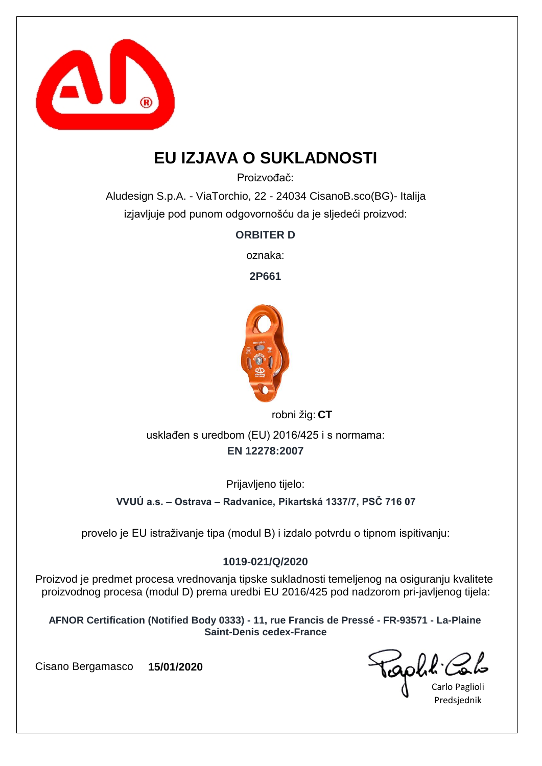

## **EU IZJAVA O SUKLADNOSTI**

Proizvođač:

Aludesign S.p.A. - ViaTorchio, 22 - 24034 CisanoB.sco(BG)- Italija izjavljuje pod punom odgovornošću da je sljedeći proizvod:

**ORBITER D**

oznaka:

**2P661**



robni žig: CT

**EN 12278:2007** usklađen s uredbom (EU) 2016/425 i s normama:

Prijavljeno tijelo:

**VVUÚ a.s. – Ostrava – Radvanice, Pikartská 1337/7, PSČ 716 07**

provelo je EU istraživanje tipa (modul B) i izdalo potvrdu o tipnom ispitivanju:

### **1019-021/Q/2020**

Proizvod je predmet procesa vrednovanja tipske sukladnosti temeljenog na osiguranju kvalitete proizvodnog procesa (modul D) prema uredbi EU 2016/425 pod nadzorom pri-javljenog tijela:

**AFNOR Certification (Notified Body 0333) - 11, rue Francis de Pressé - FR-93571 - La-Plaine Saint-Denis cedex-France**

Carlo Paglioli Predsjednik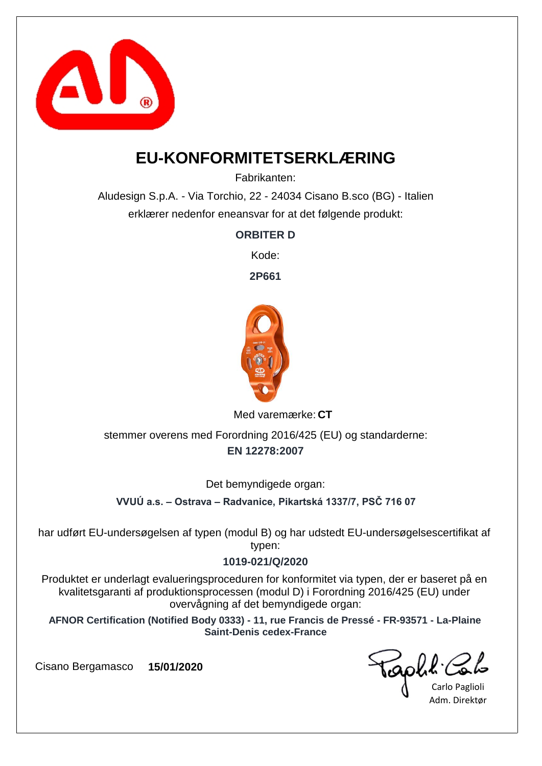

### **EU-KONFORMITETSERKLÆRING**

Fabrikanten:

Aludesign S.p.A. - Via Torchio, 22 - 24034 Cisano B.sco (BG) - Italien erklærer nedenfor eneansvar for at det følgende produkt:

**ORBITER D**

Kode:

**2P661**



Med varemærke: CT

**EN 12278:2007** stemmer overens med Forordning 2016/425 (EU) og standarderne:

Det bemyndigede organ:

**VVUÚ a.s. – Ostrava – Radvanice, Pikartská 1337/7, PSČ 716 07**

har udført EU-undersøgelsen af typen (modul B) og har udstedt EU-undersøgelsescertifikat af typen:

### **1019-021/Q/2020**

Produktet er underlagt evalueringsproceduren for konformitet via typen, der er baseret på en kvalitetsgaranti af produktionsprocessen (modul D) i Forordning 2016/425 (EU) under overvågning af det bemyndigede organ:

**AFNOR Certification (Notified Body 0333) - 11, rue Francis de Pressé - FR-93571 - La-Plaine Saint-Denis cedex-France**

Goll:

Carlo Paglioli Adm. Direktør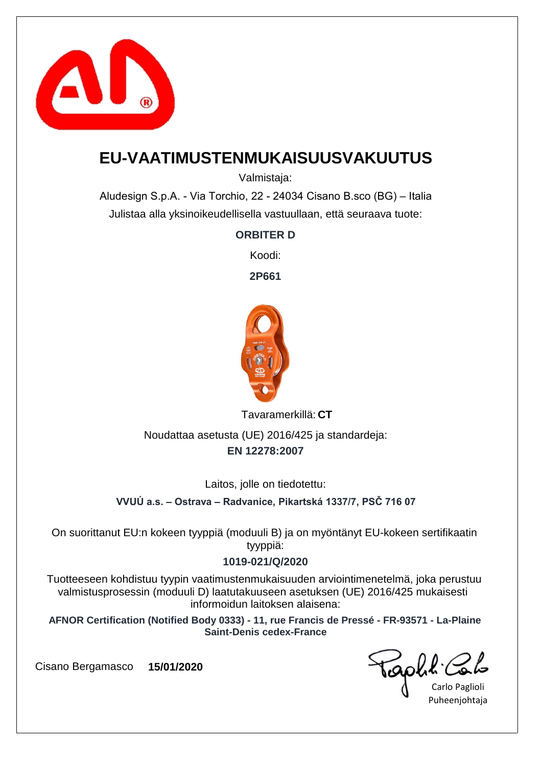

### **EU-VAATIMUSTENMUKAISUUSVAKUUTUS**

Valmistaja:

Aludesign S.p.A. - Via Torchio, 22 - 24034 Cisano B.sco (BG) – Italia Julistaa alla yksinoikeudellisella vastuullaan, että seuraava tuote:

**ORBITER D**

Koodi:

**2P661**



**CT** Tavaramerkillä:

**EN 12278:2007** Noudattaa asetusta (UE) 2016/425 ja standardeja:

Laitos, jolle on tiedotettu:

**VVUÚ a.s. – Ostrava – Radvanice, Pikartská 1337/7, PSČ 716 07**

On suorittanut EU:n kokeen tyyppiä (moduuli B) ja on myöntänyt EU-kokeen sertifikaatin tyyppiä:

#### **1019-021/Q/2020**

Tuotteeseen kohdistuu tyypin vaatimustenmukaisuuden arviointimenetelmä, joka perustuu valmistusprosessin (moduuli D) laatutakuuseen asetuksen (UE) 2016/425 mukaisesti informoidun laitoksen alaisena:

**AFNOR Certification (Notified Body 0333) - 11, rue Francis de Pressé - FR-93571 - La-Plaine Saint-Denis cedex-France**

Caph & Colo

Puheenjohtaja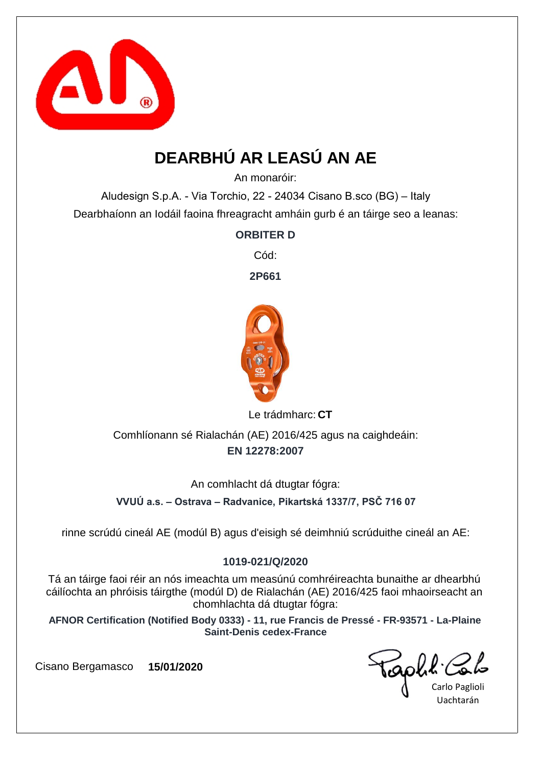

# **DEARBHÚ AR LEASÚ AN AE**

An monaróir:

Aludesign S.p.A. - Via Torchio, 22 - 24034 Cisano B.sco (BG) – Italy Dearbhaíonn an Iodáil faoina fhreagracht amháin gurb é an táirge seo a leanas:

**ORBITER D**

Cód:

**2P661**



Le trádmharc: CT

**EN 12278:2007** Comhlíonann sé Rialachán (AE) 2016/425 agus na caighdeáin:

An comhlacht dá dtugtar fógra:

**VVUÚ a.s. – Ostrava – Radvanice, Pikartská 1337/7, PSČ 716 07**

rinne scrúdú cineál AE (modúl B) agus d'eisigh sé deimhniú scrúduithe cineál an AE:

### **1019-021/Q/2020**

Tá an táirge faoi réir an nós imeachta um measúnú comhréireachta bunaithe ar dhearbhú cáilíochta an phróisis táirgthe (modúl D) de Rialachán (AE) 2016/425 faoi mhaoirseacht an chomhlachta dá dtugtar fógra:

**AFNOR Certification (Notified Body 0333) - 11, rue Francis de Pressé - FR-93571 - La-Plaine Saint-Denis cedex-France**

aphl'

Carlo Paglioli Uachtarán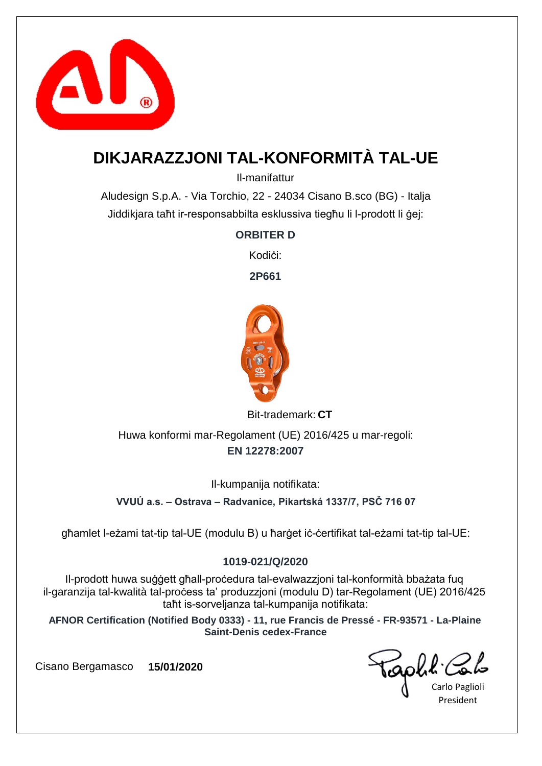

## **DIKJARAZZJONI TAL-KONFORMITÀ TAL-UE**

Il-manifattur

Aludesign S.p.A. - Via Torchio, 22 - 24034 Cisano B.sco (BG) - Italja Jiddikjara taħt ir-responsabbilta esklussiva tiegħu li l-prodott li ġej:

### **ORBITER D**

Kodi*ci*:

**2P661**



Bit-trademark: CT

**EN 12278:2007** Huwa konformi mar-Regolament (UE) 2016/425 u mar-regoli:

Il-kumpanija notifikata:

**VVUÚ a.s. – Ostrava – Radvanice, Pikartská 1337/7, PSČ 716 07**

għamlet l-eżami tat-tip tal-UE (modulu B) u ħarġet iċ-ċertifikat tal-eżami tat-tip tal-UE:

### **1019-021/Q/2020**

Il-prodott huwa suġġett għall-proċedura tal-evalwazzjoni tal-konformità bbażata fuq il-garanzija tal-kwalità tal-proċess ta' produzzjoni (modulu D) tar-Regolament (UE) 2016/425 taħt is-sorveljanza tal-kumpanija notifikata:

**AFNOR Certification (Notified Body 0333) - 11, rue Francis de Pressé - FR-93571 - La-Plaine Saint-Denis cedex-France**

raphit.

Carlo Paglioli President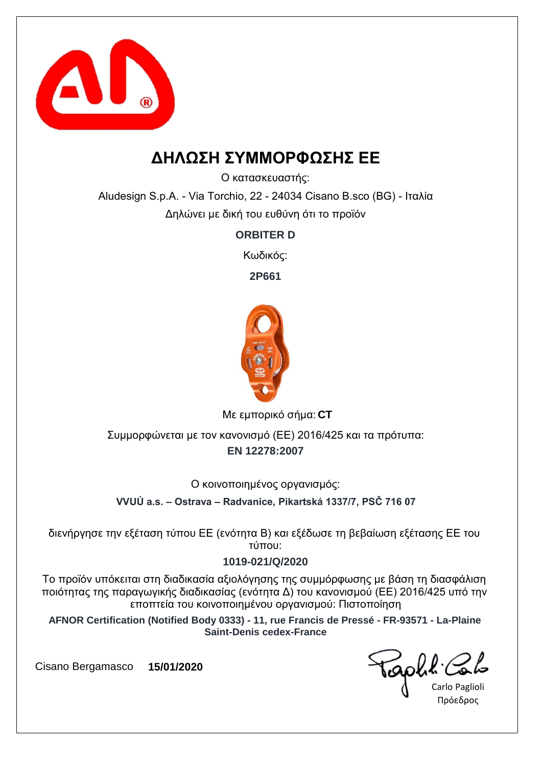

### **ΔΗΛΩΣΗ ΣΥΜΜΟΡΦΩΣΗΣ ΕΕ**

Ο κατασκευαστής:

Aludesign S.p.A. - Via Torchio, 22 - 24034 Cisano B.sco (BG) - Ιταλία Δηλώνει με δική του ευθύνη ότι το προϊόν

**ORBITER D**

Κωδικός:

**2P661**



**CT** Με εμπορικό σήμα:

**EN 12278:2007** Συμμορφώνεται με τον κανονισμό (ΕΕ) 2016/425 και τα πρότυπα:

Ο κοινοποιημένος οργανισμός:

**VVUÚ a.s. – Ostrava – Radvanice, Pikartská 1337/7, PSČ 716 07**

διενήργησε την εξέταση τύπου ΕΕ (ενότητα Β) και εξέδωσε τη βεβαίωση εξέτασης ΕΕ του τύπου:

### **1019-021/Q/2020**

Το προϊόν υπόκειται στη διαδικασία αξιολόγησης της συμμόρφωσης με βάση τη διασφάλιση ποιότητας της παραγωγικής διαδικασίας (ενότητα Δ) του κανονισμού (ΕΕ) 2016/425 υπό την εποπτεία του κοινοποιημένου οργανισμού: Πιστοποίηση

**AFNOR Certification (Notified Body 0333) - 11, rue Francis de Pressé - FR-93571 - La-Plaine Saint-Denis cedex-France**

sophe.

Carlo Paglioli Πρόεδρος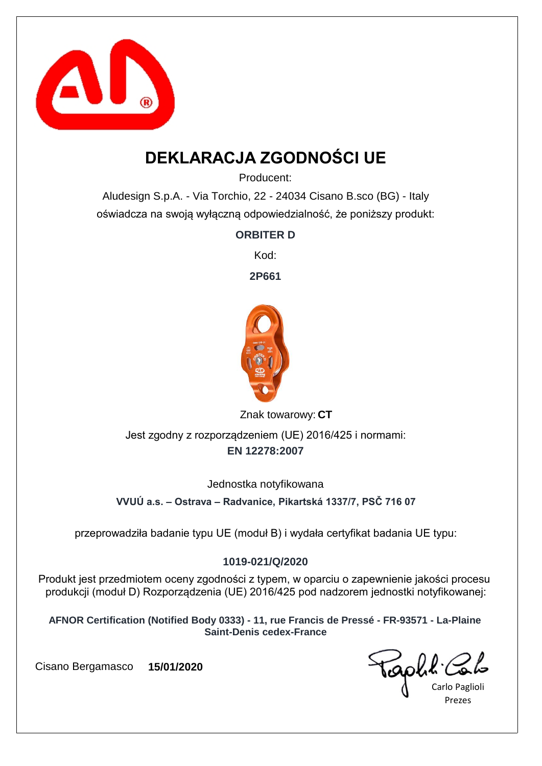

## **DEKLARACJA ZGODNOŚCI UE**

Producent:

Aludesign S.p.A. - Via Torchio, 22 - 24034 Cisano B.sco (BG) - Italy oświadcza na swoją wyłączną odpowiedzialność, że poniższy produkt:

**ORBITER D**

Kod:

**2P661**



Znak towarowy: CT

**EN 12278:2007** Jest zgodny z rozporządzeniem (UE) 2016/425 i normami:

Jednostka notyfikowana

**VVUÚ a.s. – Ostrava – Radvanice, Pikartská 1337/7, PSČ 716 07**

przeprowadziła badanie typu UE (moduł B) i wydała certyfikat badania UE typu:

### **1019-021/Q/2020**

Produkt jest przedmiotem oceny zgodności z typem, w oparciu o zapewnienie jakości procesu produkcji (moduł D) Rozporządzenia (UE) 2016/425 pod nadzorem jednostki notyfikowanej:

**AFNOR Certification (Notified Body 0333) - 11, rue Francis de Pressé - FR-93571 - La-Plaine Saint-Denis cedex-France**

Carlo Paglioli Prezes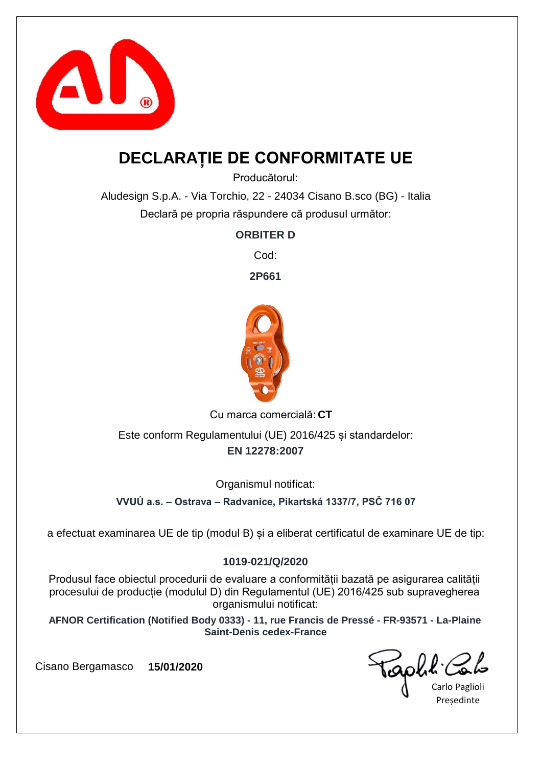

## **DECLARAȚIE DE CONFORMITATE UE**

Producătorul:

Aludesign S.p.A. - Via Torchio, 22 - 24034 Cisano B.sco (BG) - Italia Declară pe propria răspundere că produsul următor:

**ORBITER D**

Cod:

**2P661**



Cu marca comercială: CT

**EN 12278:2007** Este conform Regulamentului (UE) 2016/425 și standardelor:

Organismul notificat:

**VVUÚ a.s. – Ostrava – Radvanice, Pikartská 1337/7, PSČ 716 07**

a efectuat examinarea UE de tip (modul B) și a eliberat certificatul de examinare UE de tip:

### **1019-021/Q/2020**

Produsul face obiectul procedurii de evaluare a conformității bazată pe asigurarea calității procesului de producție (modulul D) din Regulamentul (UE) 2016/425 sub supravegherea organismului notificat:

**AFNOR Certification (Notified Body 0333) - 11, rue Francis de Pressé - FR-93571 - La-Plaine Saint-Denis cedex-France**

raphit.

Carlo Paglioli **Presedinte**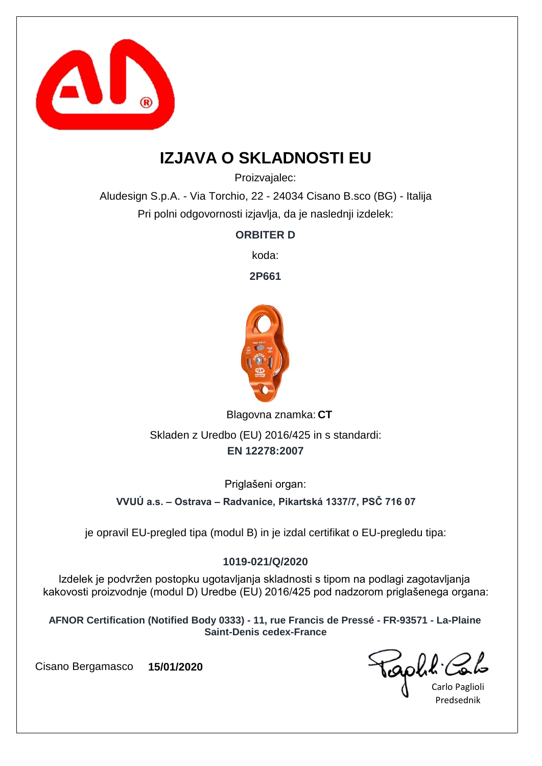

## **IZJAVA O SKLADNOSTI EU**

Proizvajalec:

Aludesign S.p.A. - Via Torchio, 22 - 24034 Cisano B.sco (BG) - Italija Pri polni odgovornosti izjavlja, da je naslednji izdelek:

**ORBITER D**

koda:

**2P661**



Blagovna znamka: CT

**EN 12278:2007** Skladen z Uredbo (EU) 2016/425 in s standardi:

Priglašeni organ:

**VVUÚ a.s. – Ostrava – Radvanice, Pikartská 1337/7, PSČ 716 07**

je opravil EU-pregled tipa (modul B) in je izdal certifikat o EU-pregledu tipa:

### **1019-021/Q/2020**

Izdelek je podvržen postopku ugotavljanja skladnosti s tipom na podlagi zagotavljanja kakovosti proizvodnje (modul D) Uredbe (EU) 2016/425 pod nadzorom priglašenega organa:

**AFNOR Certification (Notified Body 0333) - 11, rue Francis de Pressé - FR-93571 - La-Plaine Saint-Denis cedex-France**

Carlo Paglioli Predsednik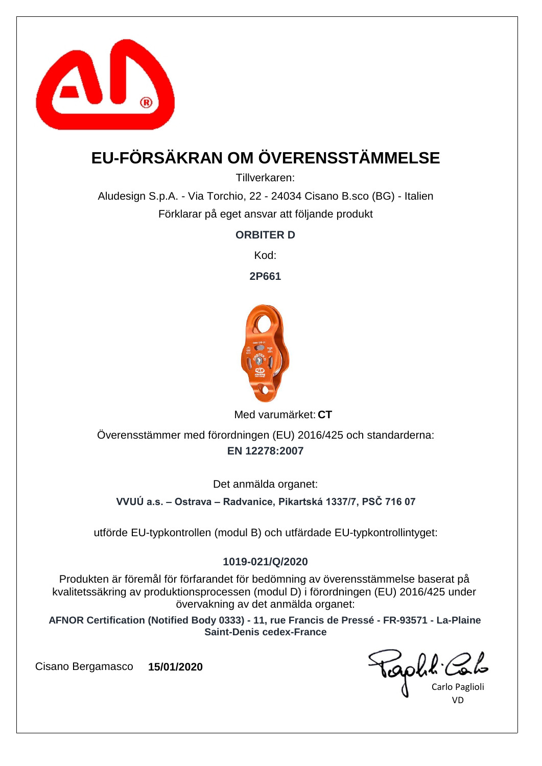

# **EU-FÖRSÄKRAN OM ÖVERENSSTÄMMELSE**

Tillverkaren:

Aludesign S.p.A. - Via Torchio, 22 - 24034 Cisano B.sco (BG) - Italien Förklarar på eget ansvar att följande produkt

**ORBITER D**

Kod:

**2P661**



Med varumärket: CT

**EN 12278:2007** Överensstämmer med förordningen (EU) 2016/425 och standarderna:

Det anmälda organet:

**VVUÚ a.s. – Ostrava – Radvanice, Pikartská 1337/7, PSČ 716 07**

utförde EU-typkontrollen (modul B) och utfärdade EU-typkontrollintyget:

### **1019-021/Q/2020**

Produkten är föremål för förfarandet för bedömning av överensstämmelse baserat på kvalitetssäkring av produktionsprocessen (modul D) i förordningen (EU) 2016/425 under övervakning av det anmälda organet:

**AFNOR Certification (Notified Body 0333) - 11, rue Francis de Pressé - FR-93571 - La-Plaine Saint-Denis cedex-France**

Carlo Paglioli VD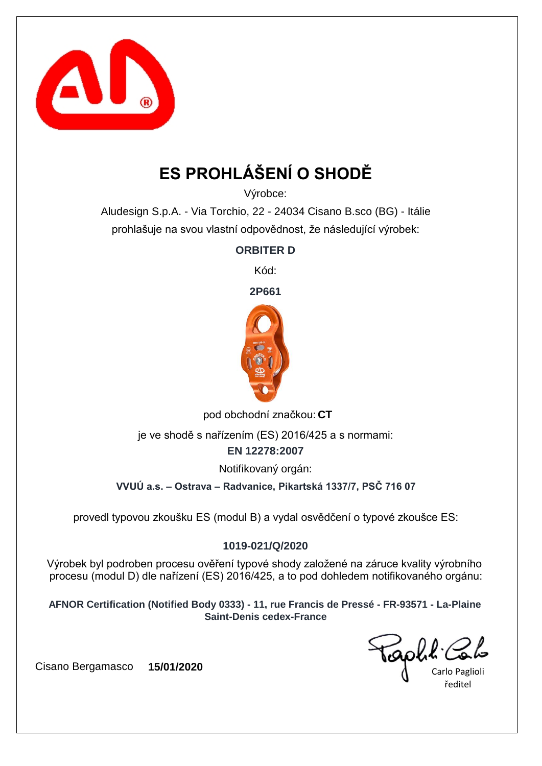

# **ES PROHLÁŠENÍ O SHODĚ**

Výrobce:

Aludesign S.p.A. - Via Torchio, 22 - 24034 Cisano B.sco (BG) - Itálie prohlašuje na svou vlastní odpovědnost, že následující výrobek:

**ORBITER D**

Kód:

**2P661**



pod obchodní značkou: CT

je ve shodě s nařízením (ES) 2016/425 a s normami:

**EN 12278:2007**

Notifikovaný orgán:

**VVUÚ a.s. – Ostrava – Radvanice, Pikartská 1337/7, PSČ 716 07**

provedl typovou zkoušku ES (modul B) a vydal osvědčení o typové zkoušce ES:

### **1019-021/Q/2020**

Výrobek byl podroben procesu ověření typové shody založené na záruce kvality výrobního procesu (modul D) dle nařízení (ES) 2016/425, a to pod dohledem notifikovaného orgánu:

**AFNOR Certification (Notified Body 0333) - 11, rue Francis de Pressé - FR-93571 - La-Plaine Saint-Denis cedex-France**

Carlo Paglioli ředitel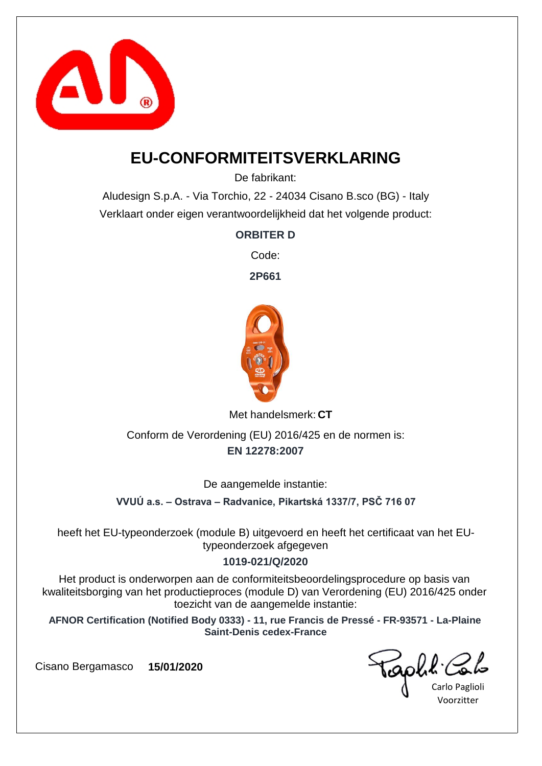

### **EU-CONFORMITEITSVERKLARING**

De fabrikant:

Aludesign S.p.A. - Via Torchio, 22 - 24034 Cisano B.sco (BG) - Italy Verklaart onder eigen verantwoordelijkheid dat het volgende product:

**ORBITER D**

Code:

**2P661**



Met handelsmerk: CT

**EN 12278:2007** Conform de Verordening (EU) 2016/425 en de normen is:

De aangemelde instantie:

**VVUÚ a.s. – Ostrava – Radvanice, Pikartská 1337/7, PSČ 716 07**

heeft het EU-typeonderzoek (module B) uitgevoerd en heeft het certificaat van het EUtypeonderzoek afgegeven

### **1019-021/Q/2020**

Het product is onderworpen aan de conformiteitsbeoordelingsprocedure op basis van kwaliteitsborging van het productieproces (module D) van Verordening (EU) 2016/425 onder toezicht van de aangemelde instantie:

**AFNOR Certification (Notified Body 0333) - 11, rue Francis de Pressé - FR-93571 - La-Plaine Saint-Denis cedex-France**

Golk.

Carlo Paglioli Voorzitter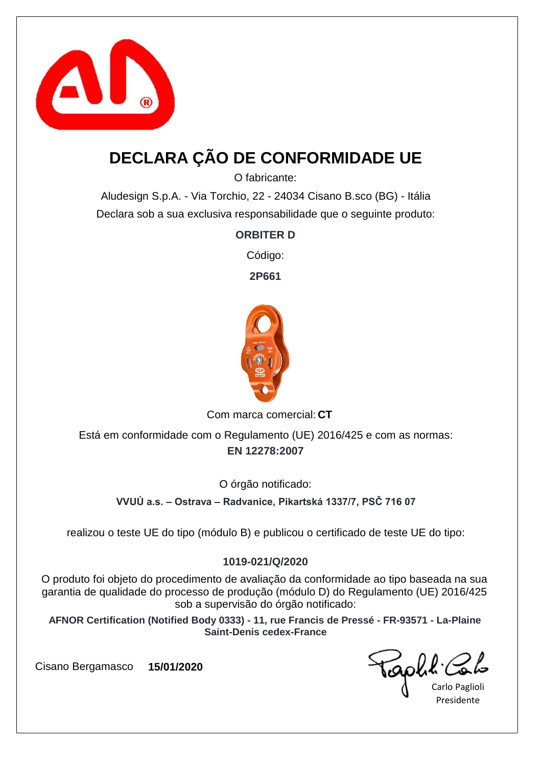

## **DECLARA ÇÃO DE CONFORMIDADE UE**

O fabricante:

Aludesign S.p.A. - Via Torchio, 22 - 24034 Cisano B.sco (BG) - Itália Declara sob a sua exclusiva responsabilidade que o seguinte produto:

**ORBITER D**

Código:

**2P661**



Com marca comercial: CT

**EN 12278:2007** Está em conformidade com o Regulamento (UE) 2016/425 e com as normas:

O órgão notificado:

**VVUÚ a.s. – Ostrava – Radvanice, Pikartská 1337/7, PSČ 716 07**

realizou o teste UE do tipo (módulo B) e publicou o certificado de teste UE do tipo:

### **1019-021/Q/2020**

O produto foi objeto do procedimento de avaliação da conformidade ao tipo baseada na sua garantia de qualidade do processo de produção (módulo D) do Regulamento (UE) 2016/425 sob a supervisão do órgão notificado:

**AFNOR Certification (Notified Body 0333) - 11, rue Francis de Pressé - FR-93571 - La-Plaine Saint-Denis cedex-France**

raphit.

Carlo Paglioli Presidente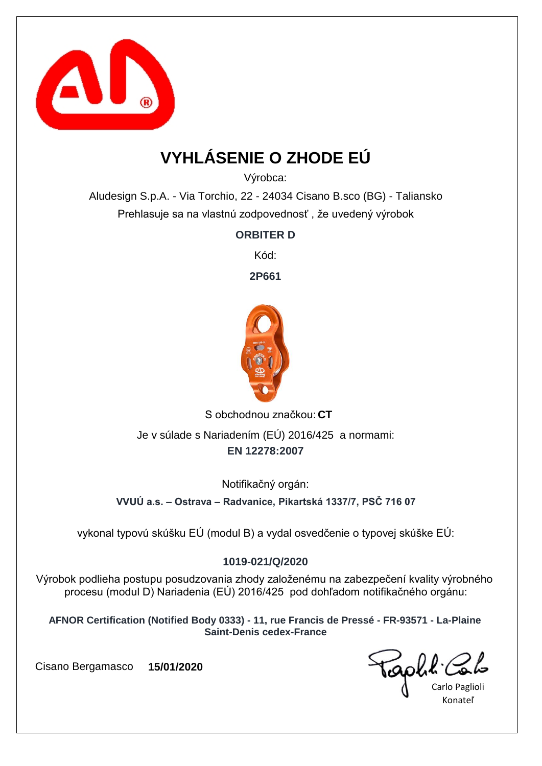

## **VYHLÁSENIE O ZHODE EÚ**

Výrobca:

Aludesign S.p.A. - Via Torchio, 22 - 24034 Cisano B.sco (BG) - Taliansko Prehlasuje sa na vlastnú zodpovednosť , že uvedený výrobok

**ORBITER D**

Kód:

**2P661**



S obchodnou značkou: CT **EN 12278:2007** Je v súlade s Nariadením (EÚ) 2016/425 a normami:

Notifikačný orgán:

**VVUÚ a.s. – Ostrava – Radvanice, Pikartská 1337/7, PSČ 716 07**

vykonal typovú skúšku EÚ (modul B) a vydal osvedčenie o typovej skúške EÚ:

### **1019-021/Q/2020**

Výrobok podlieha postupu posudzovania zhody založenému na zabezpečení kvality výrobného procesu (modul D) Nariadenia (EÚ) 2016/425 pod dohľadom notifikačného orgánu:

**AFNOR Certification (Notified Body 0333) - 11, rue Francis de Pressé - FR-93571 - La-Plaine Saint-Denis cedex-France**

Carlo Paglioli Konateľ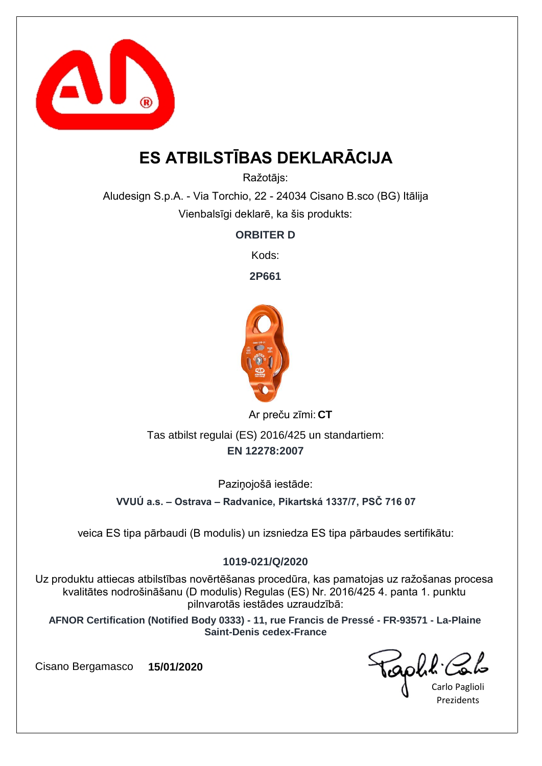

## **ES ATBILSTĪBAS DEKLARĀCIJA**

Ražotājs:

Aludesign S.p.A. - Via Torchio, 22 - 24034 Cisano B.sco (BG) Itālija Vienbalsīgi deklarē, ka šis produkts:

**ORBITER D**

Kods:

**2P661**



**CT** Ar preču zīmi:

**EN 12278:2007** Tas atbilst regulai (ES) 2016/425 un standartiem:

Paziņojošā iestāde:

**VVUÚ a.s. – Ostrava – Radvanice, Pikartská 1337/7, PSČ 716 07**

veica ES tipa pārbaudi (B modulis) un izsniedza ES tipa pārbaudes sertifikātu:

### **1019-021/Q/2020**

Uz produktu attiecas atbilstības novērtēšanas procedūra, kas pamatojas uz ražošanas procesa kvalitātes nodrošināšanu (D modulis) Regulas (ES) Nr. 2016/425 4. panta 1. punktu pilnvarotās iestādes uzraudzībā:

**AFNOR Certification (Notified Body 0333) - 11, rue Francis de Pressé - FR-93571 - La-Plaine Saint-Denis cedex-France**

Taph!

Carlo Paglioli **Prezidents**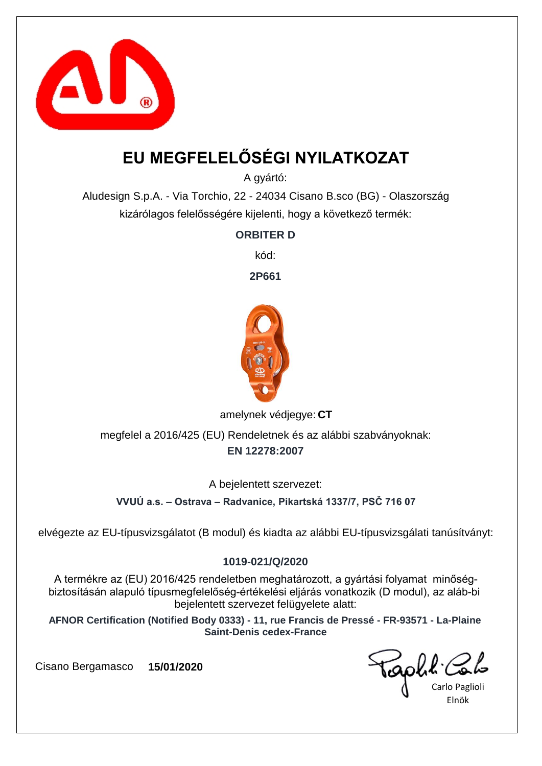

## **EU MEGFELELŐSÉGI NYILATKOZAT**

A gyártó:

Aludesign S.p.A. - Via Torchio, 22 - 24034 Cisano B.sco (BG) - Olaszország kizárólagos felelősségére kijelenti, hogy a következő termék:

**ORBITER D**

kód:

**2P661**



amelynek védjegye: CT

**EN 12278:2007** megfelel a 2016/425 (EU) Rendeletnek és az alábbi szabványoknak:

A bejelentett szervezet:

**VVUÚ a.s. – Ostrava – Radvanice, Pikartská 1337/7, PSČ 716 07**

elvégezte az EU-típusvizsgálatot (B modul) és kiadta az alábbi EU-típusvizsgálati tanúsítványt:

### **1019-021/Q/2020**

A termékre az (EU) 2016/425 rendeletben meghatározott, a gyártási folyamat minőségbiztosításán alapuló típusmegfelelőség-értékelési eljárás vonatkozik (D modul), az aláb-bi bejelentett szervezet felügyelete alatt:

**AFNOR Certification (Notified Body 0333) - 11, rue Francis de Pressé - FR-93571 - La-Plaine Saint-Denis cedex-France**

Carlo Paglioli Elnök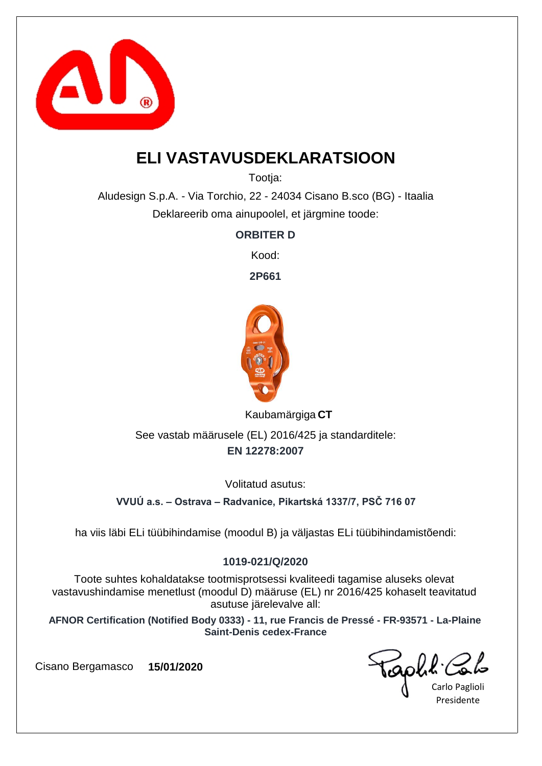

## **ELI VASTAVUSDEKLARATSIOON**

Tootia:

Aludesign S.p.A. - Via Torchio, 22 - 24034 Cisano B.sco (BG) - Itaalia Deklareerib oma ainupoolel, et järgmine toode:

**ORBITER D**

Kood:

**2P661**



**CT** Kaubamärgiga

**EN 12278:2007** See vastab määrusele (EL) 2016/425 ja standarditele:

Volitatud asutus:

**VVUÚ a.s. – Ostrava – Radvanice, Pikartská 1337/7, PSČ 716 07**

ha viis läbi ELi tüübihindamise (moodul B) ja väljastas ELi tüübihindamistõendi:

### **1019-021/Q/2020**

Toote suhtes kohaldatakse tootmisprotsessi kvaliteedi tagamise aluseks olevat vastavushindamise menetlust (moodul D) määruse (EL) nr 2016/425 kohaselt teavitatud asutuse järelevalve all:

**AFNOR Certification (Notified Body 0333) - 11, rue Francis de Pressé - FR-93571 - La-Plaine Saint-Denis cedex-France**

aphl Co

Carlo Paglioli Presidente